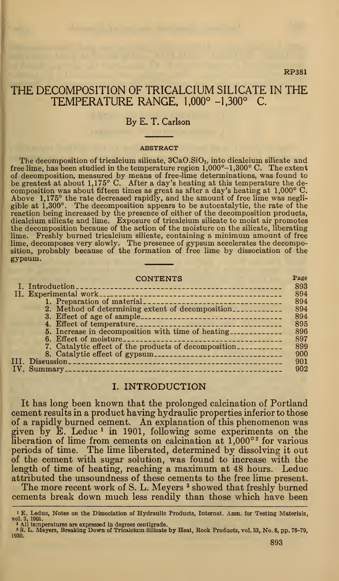### RP381

# THE DECOMPOSITION OF TRICALCIUM SILICATE IN THE TEMPERATURE RANGE, 1,000° -1,300° C.

## By E. T. Carlson

#### **ABSTRACT**

The decomposition of tricalcium silicate,  $3CaO.SIO<sub>2</sub>$ , into dicalcium silicate and free lime, has been studied in the temperature region  $1,000^{\circ}-1,300^{\circ}$  C. The extent of decomposition, measured by means of free-lime determinations, was found to be greatest at about 1,175° C. After a day's heating at this temperature the decomposition was about fifteen times as great as after a day's heating at 1,000° C. Above 1,175° the rate decreased rapidly, and the amount of free lime was negligible at 1,300°. The decomposition appears to be autocatalytic, the rate of the reaction being increased by the presence of either of the decomposition products, dicalcium silicate and lime. Exposure of tricalcium silicate to moist air promotes the decomposition because of the action of the moisture on the silicate, liberating lime. Freshly burned tricalcium silicate, containing a minimum amount of free lime, decomposes very slowly. The presence of gypsum accelerates the decomposition, probably because of the formation of free lime by dissociation of the gypsum.

| <b>CONTENTS</b>                                               | Page |
|---------------------------------------------------------------|------|
|                                                               | 893  |
|                                                               | 894  |
|                                                               | 894  |
| 2. Method of determining extent of decomposition              | 894  |
|                                                               | 894  |
|                                                               | 895  |
| 5. Increase in decomposition with time of heating             | 896  |
|                                                               | 897  |
| 7. Catalytic effect of the products of decomposition          | 899  |
| 8. Catalytic effect of gypsum-------------------------------- | 900  |
|                                                               | 901  |
|                                                               | 902  |

## I. INTRODUCTION

It has long been known that the prolonged calcination of Portland cement results in a product having hydraulic properties inferior to those of a rapidly burned cement. An explanation of this phenomenon was given by  $\mathbf{\tilde{E}}$ . Leduc<sup>1</sup> in 1901, following some experiments on the liberation of lime from cements on calcination at 1,000° <sup>2</sup> for various periods of time. The lime liberated, determined by dissolving it out of the cement with sugar solution, was found to increase with the length of time of heating, reaching a maximum at 48 hours. Leduc attributed the unsoundness of these cements to the free lime present.

The more recent work of S. L. Meyers <sup>3</sup> showed that freshly burned cements break down much less readily than those which have been

<sup>&</sup>lt;sup>1</sup> E. Leduc, Notes on the Dissociation of Hydraulic Products, Internat. Assn. for Testing Materials,<br>vol. 3, 1901.<br><sup>2</sup> All temperatures are expressed in degrees centigrade.<br><sup>3</sup> S. L. Meyers, Breaking Down of Tricalcium Si

<sup>1930.</sup>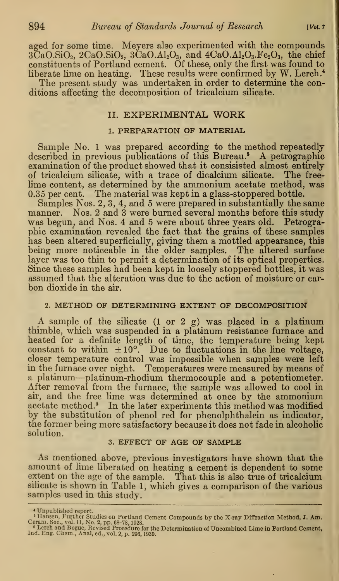aged for some time. Meyers also experimented with the compounds  $3CaO.SiO<sub>2</sub>$ ,  $2CaO.SiO<sub>2</sub>$ ,  $3CaO.Al<sub>2</sub>O<sub>3</sub>$ , and  $4CaO.Al<sub>2</sub>O<sub>3</sub>$ . Fe<sub>2</sub>O<sub>3</sub>, the chief constituents of Portland cement. Of these, only the first was found to liberate lime on heating. These results were confirmed by W. Lerch.<sup>4</sup> The present study was undertaken in order to determine the conditions affecting the decomposition of tricalcium silicate.

### II. EXPERIMENTAL WORK

## 1. PREPARATION OF MATERIAL

Sample No. <sup>1</sup> was prepared according to the method repeatedly described in previous publications of this Bureau.<sup>5</sup> A petrographic examination of the product showed that it consisisted almost entirely of tricalcium silicate, with a trace of dicalcium silicate. The freelime content, as determined by the ammonium acetate method, was 0.35 per cent. The material was kept in a glass-stoppered bottle.

Samples Nos. 2, 3, 4, and 5 were prepared in substantially the same manner. Nos. 2 and 3 were burned several months before this study was begun, and Nos. 4 and 5 were about three years old. Petrographic examination revealed the fact that the grains of these samples has been altered superficially, giving them a mottled appearance, this being more noticeable in the older samples. The altered surface layer was too thin to permit a determination of its optical properties. Since these samples had been kept in loosely stoppered bottles, it was assumed that the alteration was due to the action of moisture or car bon dioxide in the air.

## 2. METHOD OF DETERMINING EXTENT OF DECOMPOSITION

A sample of the silicate (1 or <sup>2</sup> g) was placed in <sup>a</sup> platinum thimble, which was suspended in a platinum resistance furnace and heated for a definite length of time, the temperature being kept constant to within  $\pm 10^{\circ}$ . Due to fluctuations in the line voltage, closer temperature control was impossible when samples were left in the furnace over night. Temperatures were measured by means of <sup>a</sup> platinum—platinum-rhodium thermocouple and <sup>a</sup> potentiometer. After removal from the furnace, the sample was allowed to cool in air, and the free lime was determined at once by the ammonium acetate method.<sup>6</sup> In the later experiments this method was modified by the substitution of phenol red for phenolphthalein as indicator, the former being more satisfactory because it does not fade in alcoholic solution.

## 3. EFFECT OF AGE OF SAMPLE

As mentioned above, previous investigators have shown that the amount of lime liberated on heating a cement is dependent to some extent on the age of the sample. That this is also true of tricalcium silicate is shown in Table 1, which gives a comparison of the various samples used in this study.

<sup>\*</sup> Unpublished report.

 $^6$  Hansen, Further Studies on Portland Cement Compounds by the X-ray Diffraction Method, J. Am.<br>Ceram. Soc., vol. 11, No. 2, pp. 68–78, 1928.<br> $^6$  Lerch and Bogue, Revised Procedure for the Determination of Uncombined L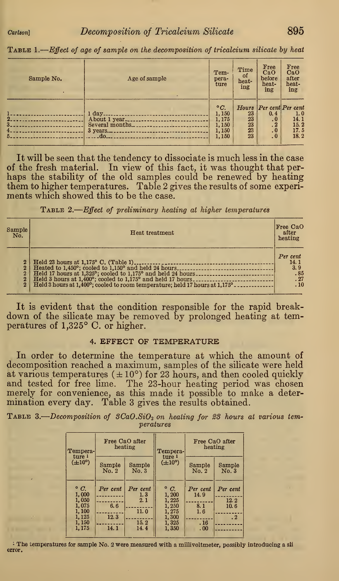| Sample No. | Age of sample                                                             | Tem-<br>pera-<br>ture                                   | Time<br>0f<br>heat-<br>ing | Free<br>CaO<br>before<br>heat-<br>ing                                       | Free<br>CaO<br>after<br>heat-<br>ing                                  |
|------------|---------------------------------------------------------------------------|---------------------------------------------------------|----------------------------|-----------------------------------------------------------------------------|-----------------------------------------------------------------------|
| $2-$<br>5. | $1 \, \text{day}$<br>About 1 year<br>Several months<br>$3$ years<br>$-40$ | $\circ C.$<br>1,150<br>1,175<br>1,150<br>1,150<br>1,150 | 23<br>23<br>23<br>23<br>23 | 0.4<br>$\cdot$ <sub>0</sub><br>$\cdot$ 2<br>$\cdot$<br>$\ddot{\phantom{0}}$ | Hours Per cent Per cent<br>1.0<br>$\frac{14.1}{15.2}$<br>17.5<br>18.2 |

Table 1. Effect of age of sample on the decomposition of tricalcium silicate by heat

It will be seen that the tendency to dissociate is much less in the case of the fresh material. In view of this fact, it was thought that perhaps the stability of the old samples could be renewed by heating them to higher temperatures. Table 2 gives the results of some experiments which showed this to be the case.

TABLE 2.—Effect of preliminary heating at higher temperatures

| Sample<br>No.                                                  | Heat treatment                                                                                                                                                                                                                                                    | Free CaO<br>after<br>heating                 |
|----------------------------------------------------------------|-------------------------------------------------------------------------------------------------------------------------------------------------------------------------------------------------------------------------------------------------------------------|----------------------------------------------|
| $\overline{2}$<br>$\mathbf{2}$<br>$\mathbf{2}$<br>$\mathbf{2}$ | Heated to 1,450°; cooled to 1,150° and held 24 hours<br>Held 17 hours at 1,325°; cooled to 1,175° and held 24 hours.<br>Held 3 hours at 1,400°; cooled to 1,175° and held 17 hours<br>Held 3 hours at 1,400°; cooled to room temperature; held 17 hours at 1,175° | Per cent<br>14.1<br>3.9<br>.85<br>.27<br>.10 |

It is evident that the condition responsible for the rapid breakdown of the silicate may be removed by prolonged heating at temperatures of 1,325° C. or higher.

### 4. EFFECT OF TEMPERATURE

In order to determine the temperature at which the amount of decomposition reached a maximum, samples of the silicate were held at various temperatures  $(\pm 10^{\circ})$  for 23 hours, and then cooled quickly and tested for free lime. The 23-hour heating period was chosen merely for convenience, as this made it possible to make a determination every day. Table 3 gives the results obtained.

TABLE 3.—Decomposition of  $SCaO.SiO<sub>2</sub>$  on heating for 23 hours at various temperatures

| Tempera-<br>ture 1                                                         | Free CaO after<br>heating       |                                                 | Free CaO after<br>heating<br>Tempera-<br>ture 1                             |                                              |                                       |
|----------------------------------------------------------------------------|---------------------------------|-------------------------------------------------|-----------------------------------------------------------------------------|----------------------------------------------|---------------------------------------|
| $(\pm 10^{\circ})$                                                         | Sample<br>No. 2                 | Sample<br>No.3                                  | $(\pm 10^{\circ})$                                                          | Sample<br>No. 2                              | Sample<br>No.3                        |
| $\circ$ C.<br>1.000<br>1,050<br>1,075<br>1,100<br>1, 125<br>1,150<br>1,175 | Per cent<br>6.6<br>12.3<br>14.1 | Per cent<br>1, 3<br>2.1<br>11.0<br>15.2<br>14.4 | $\degree$ C.<br>1,200<br>1,225<br>1,250<br>1,275<br>1,300<br>1,325<br>1,350 | Per cent<br>14.9<br>8.1<br>1.6<br>.16<br>.00 | Per cent<br>12.2<br>10.6<br>$\cdot$ 2 |

: The temperatures for sample No. <sup>2</sup> were measured with a millivoltmeter, possibly introducing a sli error.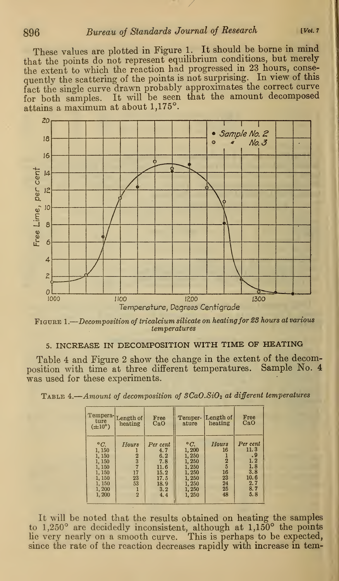# 896 Bureau of Standards Journal of Research [Vol. 7]

These values are plotted in Figure 1. It should be borne in mind that the points do not represent equilibrium conditions, but merely the extent to which the reaction had progressed in <sup>23</sup> hours, conse quently the scattering of the points is not surprising. In view of this fact the single curve drawn probably approximates the correct curve for both samples. It will be seen that the amount decomposed attains a maximum at about 1,175°.



Figure 1. Decomposition of tricalcium silicate on heatingfor 23 hours at various temperatures

# 5. INCREASE IN DECOMPOSITION WITH TIME OF HEATING

Table 4 and Figure 2 show the change in the extent of the decom-<br>sition with time at three different temperatures. Sample No. 4 position with time at three different temperatures. was used for these experiments.

Table 4.—Amount of decomposition of  $SCaO.SiO<sub>2</sub>$  at different temperatures

| ture                                                                                             | Tempera-Length of                                        | Free                                                                        | ature                                                                                                | Temper-ILength of                                          | Free                                                                            |
|--------------------------------------------------------------------------------------------------|----------------------------------------------------------|-----------------------------------------------------------------------------|------------------------------------------------------------------------------------------------------|------------------------------------------------------------|---------------------------------------------------------------------------------|
| $(\pm 10^{\circ})$                                                                               | heating                                                  | CaO                                                                         |                                                                                                      | heating                                                    | CaO                                                                             |
| $\circ$ C.<br>1,150<br>1, 150<br>1, 150<br>1, 150<br>1,150<br>1, 150<br>1, 150<br>1,200<br>1,200 | Hours<br>$\frac{2}{3}$<br>17<br>23<br>53<br>$\mathbf{2}$ | Per cent<br>4.7<br>6.2<br>7.8<br>11.6<br>15.2<br>17.5<br>18.9<br>3.2<br>4.4 | $\circ$ $C_{\cdot}$<br>1,200<br>1,250<br>1,250<br>1.250<br>1.250<br>1,250<br>1,250<br>1,250<br>1,250 | Hours<br>16<br>$\frac{2}{5}$<br>16<br>23<br>24<br>25<br>48 | Per cent<br>11.3<br>$\cdot$ 9<br>1.2<br>1.8<br>3.8<br>10.6<br>2.7<br>8.7<br>5.8 |

It will be noted that the results obtained on heating the samples to 1,250° are decidedly inconsistent, although at 1,150° the points lie very nearly on a smooth curve. This is perhaps to be expected, since the rate of the reaction decreases rapidly with increase in tem-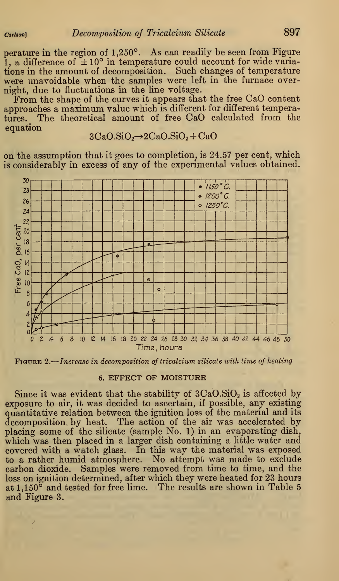perature in the region of 1,250°. As can readily be seen from Figure 1, a difference of  $\pm 10^{\circ}$  in temperature could account for wide variations in the amount of decomposition. Such changes of temperature were unavoidable when the samples were left in the furnace overnight, due to fluctuations in the line voltage.

From the shape of the curves it appears that the free CaO content approaches a maximum value which is different for different temperatures. The theoretical amount of free CaO calculated from the equation

$$
3CaO.SiO2\rightarrow 2CaO.SiO2+CaO
$$

on the assumption that it goes to completion, is 24.57 per cent, which is considerably in excess of any of the experimental values obtained.



Figure 2. Increase in decomposition of tricalcium silicate with time of heating

### 6. EFFECT OF MOISTURE

Since it was evident that the stability of  $3CaO.SiO<sub>2</sub>$  is affected by exposure to air, it was decided to ascertain, if possible, any existing quantitative relation between the ignition loss of the material and its decomposition by heat. The action of the air was accelerated by placing some of the silicate (sample No. 1) in an evaporating dish, which was then placed in a larger dish containing a little water and covered with a watch glass. In this way the material was exposed to a rather humid atmosphere. No attempt was made to exclude carbon dioxide. Samples were removed from time to time, and the loss on ignition determined, after which they were heated for 23 hours at 1,150<sup> $\overline{\circ}$ </sup> and tested for free lime. The results are shown in Table 5 and Figure 3.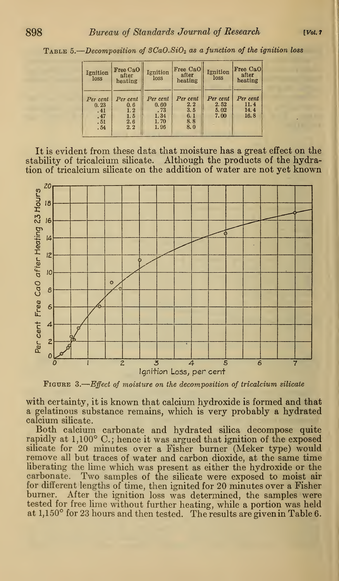TABLE 5.—Decomposition of 3CaO.SiO<sub>2</sub> as a function of the ignition loss

| Ignition<br>loss                             | Free CaO<br>after<br>heating                       | Ignition<br>loss                                | Free CaO<br>after<br>heating                | Ignition<br>loss                 | Free CaO<br>after<br>heating     |
|----------------------------------------------|----------------------------------------------------|-------------------------------------------------|---------------------------------------------|----------------------------------|----------------------------------|
| Per cent<br>0.23<br>.41<br>.47<br>.51<br>.54 | Per cent<br>0.6<br>1.2<br>1.5<br>$\frac{2.6}{2.2}$ | Per cent<br>0.60<br>.73<br>1.34<br>1.70<br>1.96 | Per cent<br>2.2<br>3.5<br>6.1<br>8.8<br>8.0 | Per cent<br>2.52<br>5.02<br>7.00 | Per cent<br>11.4<br>14.4<br>16.8 |

It is evident from these data that moisture has a great effect on the stability of tricalcium silicate. Although the products of the hydration of tricalcium silicate on the addition of water are not yet known



FIGURE 3.—Effect of moisture on the decomposition of tricalcium silicate

with certainty, it is known that calcium hydroxide is formed and that a gelatinous substance remains, which is very probably a hydrated calcium silicate.

Both calcium carbonate and hydrated silica decompose quite rapidly at 1,100° C.; hence it was argued that ignition of the exposed silicate for 20 minutes over a Fisher burner (Meker type) would remove all but traces of water and carbon dioxide, at the same time liberating the lime which was present as either the hydroxide or the carbonate. Two samples of the silicate were exposed to moist air for different lengths of time, then ignited for 20 minutes over a Fisher burner. After the ignition loss was determined, the samples were tested for free lime without further heating, while a portion was held at 1,150° for 23 hours and then tested. The results are given in Table 6.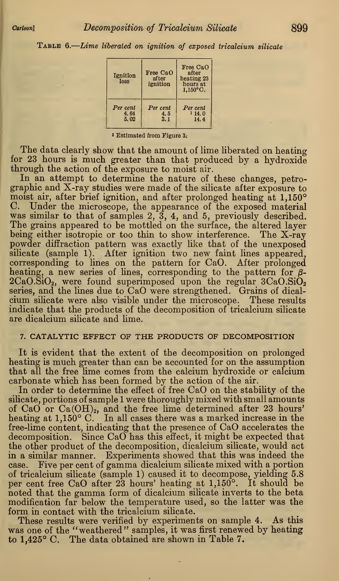TABLE 6.—Lime liberated on ignition of exposed tricalcium silicate

| Ignition<br>loss         | Free CaO<br>after<br>ignition | Free CaO<br>after<br>heating 23<br>hours at<br>$1.150^{\circ}$ C. |  |
|--------------------------|-------------------------------|-------------------------------------------------------------------|--|
| Per cent<br>4.64<br>5.02 | Per cent<br>4.5<br>3.1        | Per cent<br>114.0<br>14.4                                         |  |

<sup>1</sup> Estimated from Figure 3:

The data clearly show that the amount of lime liberated on heating for 23 hours is much greater than that produced by a hydroxide through the action of the exposure to moist air.

In an attempt to determine the nature of these changes, petrographic and X-ray studies were made of the silicate after exposure to moist air, after brief ignition, and after prolonged heating at 1,150° C. Under the microscope, the appearance of the exposed material was similar to that of samples 2, 3, 4, and 5, previously described. The grains appeared to be mottled on the surface, the altered layer being either isotropic or too thin to show interference. The X-ray powder diffraction pattern was exactly like that of the unexposed silicate (sample 1). After ignition two new faint lines appeared, corresponding to lines on the pattern for CaO. After prolonged heating, a new series of lines, corresponding to the pattern for  $\beta$ - $2CaO.SiO<sub>2</sub>$ , were found superimposed upon the regular  $3CaO.SiO<sub>2</sub>$ series, and the lines due to CaO were strengthened. Grains of dicalcium silicate were also visible under the microscope. These results indicate that the products of the decomposition of tricalcium silicate are dicalcium silicate and lime.

### 7. CATALYTIC EFFECT OF THE PRODUCTS OF DECOMPOSITION

It is evident that the extent of the decomposition on prolonged heating is much greater than can be accounted for on the assumption that all the free lime comes from the calcium hydroxide or calcium carbonate which has been formed by the action of the air.

In order to determine the effect of free CaO on the stability of the silicate, portions of sample <sup>1</sup> were thoroughly mixed with small amounts of CaO or  $Ca(OH)_2$ , and the free lime determined after 23 hours' heating at 1,150° C. In all cases there was a marked increase in the free-lime content, indicating that the presence of CaO accelerates the decomposition. Since CaO has this effect, it might be expected that the other product of the decomposition, dicalcium silicate, would act in a similar manner. Experiments showed that this was indeed the case. Five per cent of gamma dicalcium silicate mixed with <sup>a</sup> portion of tricalcium silicate (sample 1) caused it to decompose, yielding 5.8 per cent free CaO after 23 hours' heating at 1,150°. It should be noted that the gamma form of dicalcium silicate inverts to the beta modification far below the temperature used, so the latter was the form in contact with the tricalcium silicate.

These results were verified by experiments on sample 4. As this was one of the "weathered" samples, it was first renewed by heating to 1,425° C. The data obtained are shown in Table 7.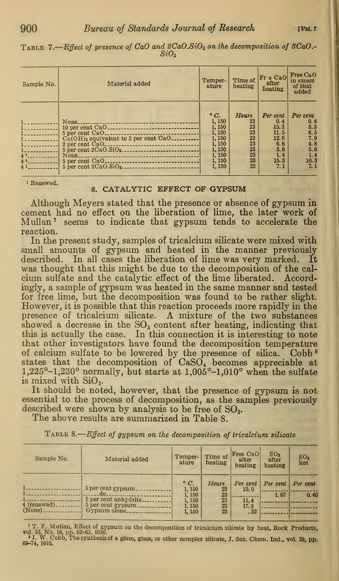| Sample No.                                                           | Material added                                                                                                                            | Temper-<br>ature                                                                              | Time of<br>heating                                          | Fr e CaO<br>after<br>heating                                                 | Free CaO<br>in excess<br>of that<br>added                                        |
|----------------------------------------------------------------------|-------------------------------------------------------------------------------------------------------------------------------------------|-----------------------------------------------------------------------------------------------|-------------------------------------------------------------|------------------------------------------------------------------------------|----------------------------------------------------------------------------------|
| The company of the company<br>41<br>4 <sup>1</sup><br>4 <sup>1</sup> | None_<br>------------------------------------<br>$Ca(OH)$ <sub>2</sub> equivalent to 5 per cent $CaO$ <sub>---------</sub><br>$None_{--}$ | $\circ$ C.<br>1,150<br>1,150<br>1,150<br>1,150<br>1, 150<br>1,150<br>1,150<br>1, 150<br>1,150 | Hours<br>23<br>23<br>23<br>23<br>23<br>23<br>23<br>23<br>23 | Per cent<br>0.4<br>15.3<br>11.5<br>12.9<br>6, 8<br>5.8<br>1.4<br>15.3<br>7.1 | Per cent<br>0.4<br>5.3<br>$6.5$<br>$7.9$<br>$4.8$<br>$5.8$<br>1.4<br>10.3<br>7.1 |

TABLE 7.—Effect of presence of CaO and 2CaO.SiO<sub>2</sub> on the decomposition of 3CaO.  $SiO<sub>2</sub>$ 

#### <sup>i</sup> Renewed.

### 8. CATALYTIC EFFECT OF GYPSUM

Although Meyers stated that the presence or absence of gypsum in cement had no effect on the liberation of lime, the later work of Mullan <sup>7</sup> seems to indicate that gypsum tends to accelerate the reaction.

In the present study, samples of tricalcium silicate were mixed with small amounts of gypsum and heated in the manner previously described. In all cases the liberation of lime was very marked. It was thought that this might be due to the decomposition of the calcium sulfate and the catalytic effect of the lime liberated. Accordingly, a sample of gypsum was heated in the same manner and tested for free lime, but the decomposition was found to be rather slight. However, it is possible that this reaction proceeds more rapidly in the presence of tricalcium silicate. A mixture of the two substances showed a decrease in the  $SO<sub>3</sub>$  content after heating, indicating that this is actually the case. In this connection it is interesting to note that other investigators have found the decomposition temperature of calcium sulfate to be lowered by the presence of silica. Cobb <sup>8</sup> states that the decomposition of  $CaSO<sub>4</sub>$  becomes appreciable at 1,225°-1,230° normally, but starts at 1,005°-1,010° when the sulfate is mixed with  $\text{SiO}_2$ .

It should be noted, however, that the presence of gypsum is not essential to the process of decomposition, as the samples previously described were shown by analysis to be free of SO<sub>3</sub>.

The above results are summarized in Table 8.

| Sample No.    | Material added                                     | Temper-<br>ature         | Time of<br>heating | <b>Free CaO</b><br>after<br>heating | SO <sub>3</sub><br>after<br>heating | SO <sub>3</sub><br>lost |
|---------------|----------------------------------------------------|--------------------------|--------------------|-------------------------------------|-------------------------------------|-------------------------|
|               | 5 per cent gypsum.                                 | $\circ$ C.<br>1,150      | Hours<br>23        | Per cent<br>10.0                    | $Per$ cent                          | Per cent                |
| $4$ (renewed) | do.<br>5 per cent anhydrite.<br>5 per cent gypsum. | 1,150<br>1,150<br>1, 150 | 23<br>23<br>23     | 11.4<br>17.5                        | 1.87                                | 0.46                    |
| $(None)$      | $Gy$ psum alone                                    | 1, 150                   | 23                 | .32                                 |                                     |                         |

TABLE 8.—Effect of gypsum on the decomposition of tricalcium silicate

<sup>7</sup> T. F. Mullan, Effect of gypsum on the decomposition of tricalcium silicate by heat, Rock Products,<br>vol. 33, No. 18, pp. 62–63, 1930.<br>\* J. W. Cobb, The synthesis of a glaze, glass, or other complex silicate, J. Soc. Che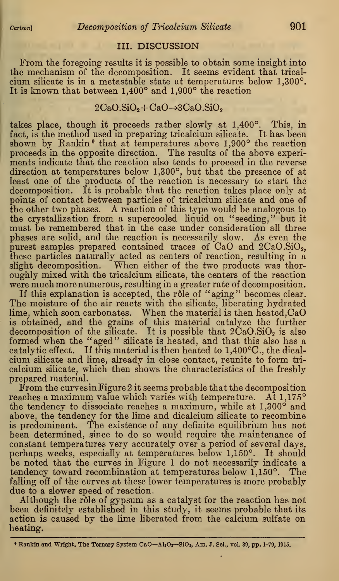## III. DISCUSSION

From the foregoing results it is possible to obtain some insight into the mechanism of the decomposition. It seems evident that tricalcium silicate is in a metastable state at temperatures below 1,300°. It is known that between 1,400° and 1,900° the reaction

## $2CaO.SiO<sub>2</sub> + CaO \rightarrow 3CaO.SiO<sub>2</sub>$

takes place, though it proceeds rather slowly at 1,400°. This, in fact, is the method used in preparing tricalcium silicate. It has been shown by Rankin<sup>9</sup> that at temperatures above 1,900° the reaction proceeds in the opposite direction. The results of the above experiments indicate that the reaction also tends to proceed in the reverse direction at temperatures below 1,300°, but that the presence of at least one of the products of the reaction is necessary to start the decomposition. It is probable that the reaction takes place only at points of contact between particles of tricalcium silicate and one of the other two phases. A reaction of this type would be analogous to the crystallization from a supercooled liquid on "seeding," but it must be remembered that in the case under consideration all three phases are solid, and the reaction is necessarily slow. As even the purest samples prepared contained traces of  $CaO$  and  $2CaO.SiO<sub>2</sub>$ , these particles naturally acted as centers of reaction, resulting in a slight decomposition. When either of the two products was thoroughly mixed with the tricalcium silicate, the centers of the reaction were much more numerous, resulting in a greater rate of decomposition.

If this explanation is accepted, the rôle of "aging" becomes clear. The moisture of the air reacts with the silicate, liberating hydrated lime, which soon carbonates. When the material is then heated,CaO is obtained, and the grains of this material catalyze the further decomposition of the silicate. It is possible that  $2\text{CaO.SiO}_2$  is also formed when the "aged" silicate is heated, and that this also has a catalytic effect. If this material is then heated to 1,400°C, the dicalcium silicate and lime, already in close contact, reunite to form tricalcium silicate, which then shows the characteristics of the freshly prepared material.

From the curves in Figure 2 it seems probable that the decomposition reaches a maximum value which varies with temperature. At 1,175° the tendency to dissociate reaches a maximum, while at 1,300° and above, the tendency for the lime and dicalcium silicate to recombine is predominant. The existence of any definite equilibrium has not been determined, since to do so would require the maintenance of constant temperatures very accurately over a period of several days, perhaps weeks, especially at temperatures below 1,150°. It should be noted that the curves in Figure <sup>1</sup> do not necessarily indicate a tendency toward recombination at temperatures below 1,150°. The falling off of the curves at these lower temperatures is more probably due to a slower speed of reaction.

Although the rôle of gypsum as a catalyst for the reaction has not been definitely established in this study, it seems probable that its action is caused by the lime liberated from the calcium sulfate on heating.

<sup>•</sup> Rankin and Wright, The Ternary System CaO—AljOj—SiOa, Am. J. Sci., vol. 39, pp. 1-79, 1915.